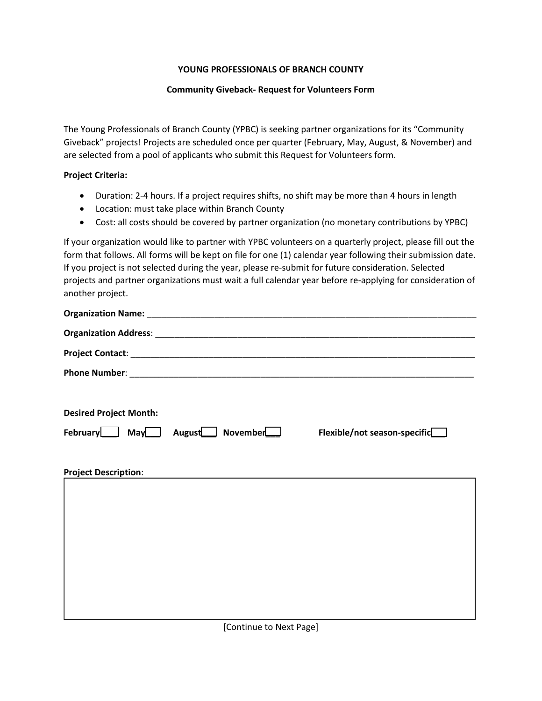### **YOUNG PROFESSIONALS OF BRANCH COUNTY**

#### **Community Giveback- Request for Volunteers Form**

The Young Professionals of Branch County (YPBC) is seeking partner organizations for its "Community Giveback" projects! Projects are scheduled once per quarter (February, May, August, & November) and are selected from a pool of applicants who submit this Request for Volunteers form.

#### **Project Criteria:**

- Duration: 2-4 hours. If a project requires shifts, no shift may be more than 4 hours in length
- Location: must take place within Branch County
- Cost: all costs should be covered by partner organization (no monetary contributions by YPBC)

If your organization would like to partner with YPBC volunteers on a quarterly project, please fill out the form that follows. All forms will be kept on file for one (1) calendar year following their submission date. If you project is not selected during the year, please re-submit for future consideration. Selected projects and partner organizations must wait a full calendar year before re-applying for consideration of another project.

| <b>Desired Project Month:</b> |                              |                              |
|-------------------------------|------------------------------|------------------------------|
|                               | February May August November | Flexible/not season-specific |
|                               |                              |                              |
| <b>Project Description:</b>   |                              |                              |
|                               |                              |                              |
|                               |                              |                              |
|                               |                              |                              |
|                               |                              |                              |
|                               |                              |                              |
|                               |                              |                              |
|                               |                              |                              |